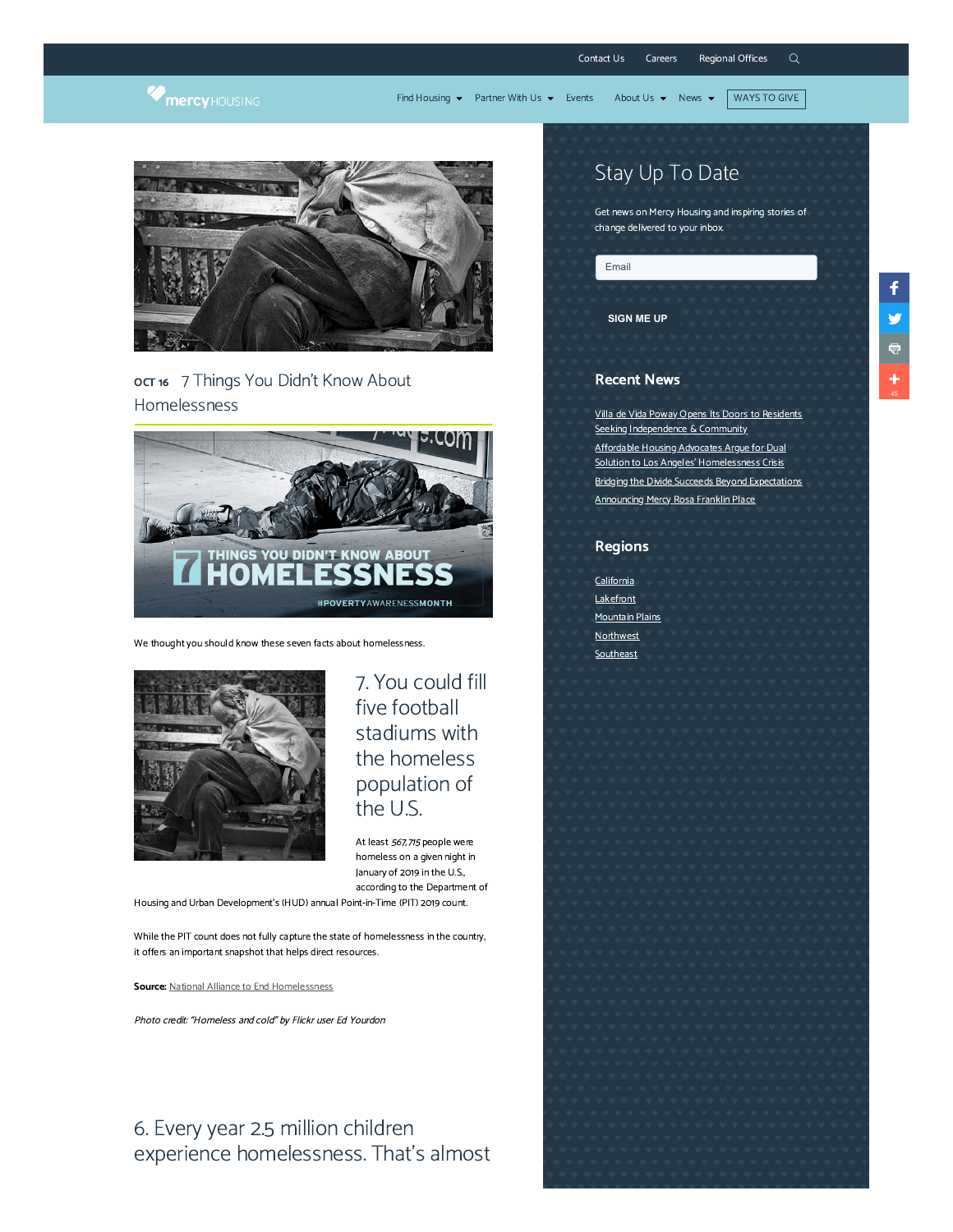



OCT 16 7 Things You Didn't Know About Homelessness



We thought you should know these seven facts about homelessness.



7. You could fill five football stadiums with the homeless population of the U.S.

At least 567,715 people were homeless on a given night in January of 2019 in the U.S., according to the Department of

Housing and Urban Development's (HUD) annual Point-in-Time (PIT) 2019 count.

While the PIT count does not fully capture the state of homelessness in the country, it offers an important snapshot that helps direct resources.

Source: National Alliance to End [Homelessness](https://endhomelessness.org/homelessness-in-america/homelessness-statistics/state-of-homelessness-2020/)

Photo credit: "Homeless and cold" by Flickr user Ed Yourdon

#### 6. Every year 2.5 million children experience homelessness. That's almost

# Stay Up To Date

Get news on Mercy Housing and inspiring stories of change delivered to your inbox.

Email

**SIGN ME UP**

# $\frac{f}{y}$ -<br>中<br>十

#### Recent News

Villa de Vida Poway Opens Its Doors to Residents Seeking [Independence](https://www.mercyhousing.org/2021/07/villa-de-vida-poway-opens-its-doors-to-residents-seeking-independence-community/) & Community Affordable Housing Advocates Argue for Dual Solution to Los Angeles' [Homelessness](https://www.mercyhousing.org/2021/07/affordable-housing-advocates-argue-for-dual-solution-to-los-angeless-homelessness-crisis/) Crisis Bridging the Divide Succeeds Beyond [Expectations](https://www.mercyhousing.org/2021/07/bridging-the-divide-succeeds-beyond-expectations/) [Announcing](https://www.mercyhousing.org/2021/07/mercy-rosa-franklin-place/) Mercy Rosa Franklin Place

#### Regions

[California](https://www.mercyhousing.org/category/california/) [Lakefront](https://www.mercyhousing.org/category/lakefront/) [Mountain](https://www.mercyhousing.org/category/mountain-plains/) Plains [Northwest](https://www.mercyhousing.org/category/northwest/) [Southeast](https://www.mercyhousing.org/category/southeast/)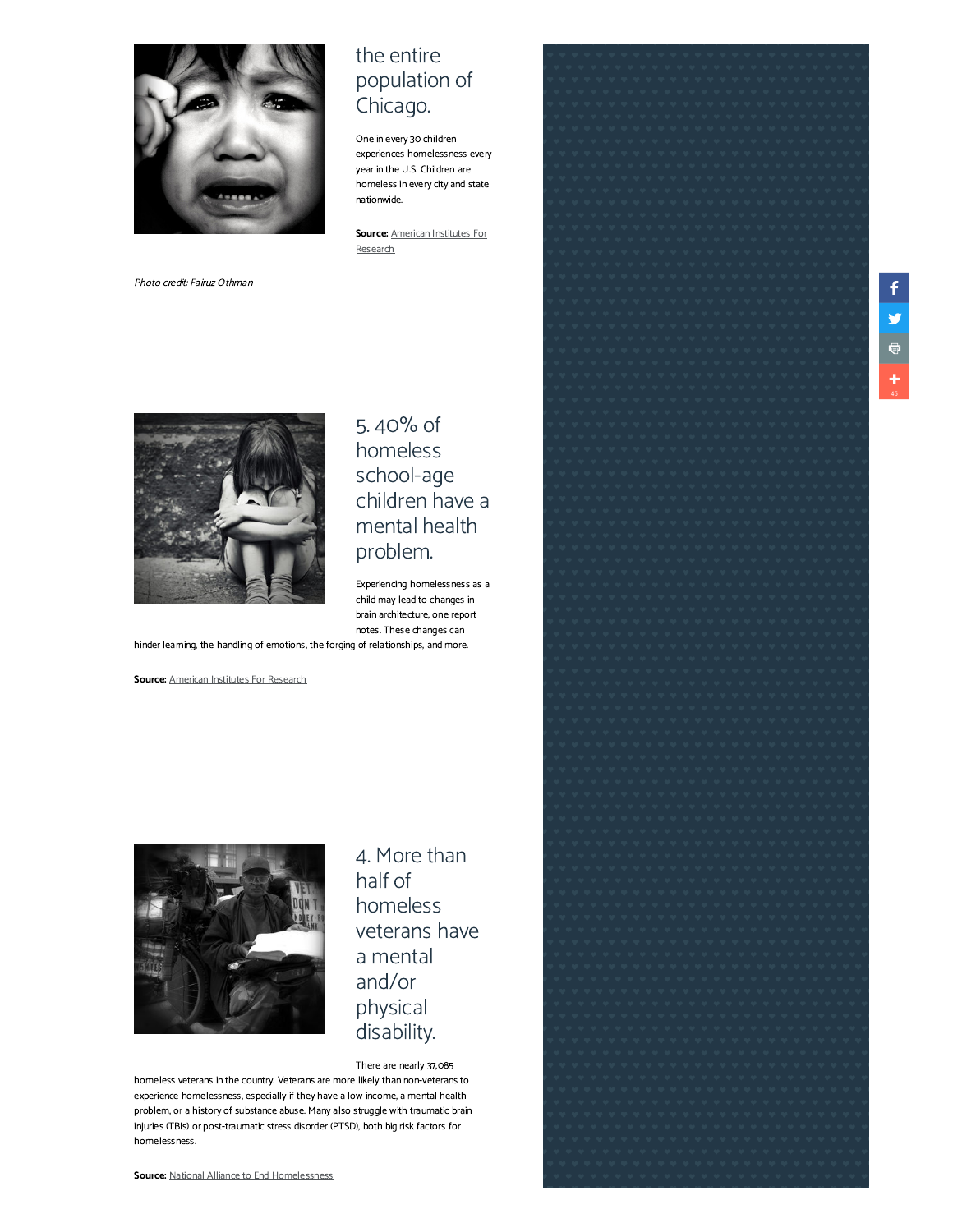

Photo credit: Fairuz Othman

#### the entire population of Chicago.

One in every 30 children experiences homelessness every year in the U.S. Children are homeless in every city and state nationwide.

Source: [American](https://www.air.org/center/national-center-family-homelessness#:~:text=A%20staggering%202.5%20million%20children,children%20in%20the%20United%20States.) Institutes For Research



5. 40% of homeless school-age children have a mental health problem.

Experiencing homelessness as a child may lead to changes in brain architecture, one report notes. These changes can

hinder learning, the handling of emotions, the forging of relationships, and more.

**Source: [American](https://jaacap.org/article/S0890-8567(14)00798-9/pdf#:~:text=Overall%2C%2010%25%20to%2026%25,National%20Survey%20of%20America) Institutes For Research** 

![](_page_1_Picture_10.jpeg)

4. More than half of homeless veterans have a mental and/or physical disability.

There are nearly 37,085

homeless veterans in the country. Veterans are more likely than non-veterans to experience homelessness, especially if they have a low income, a mental health problem, or a history of substance abuse. Many also struggle with traumatic brain injuries (TBIs) or post-traumatic stress disorder (PTSD), both big risk factors for homelessness.

 $\frac{1}{2}$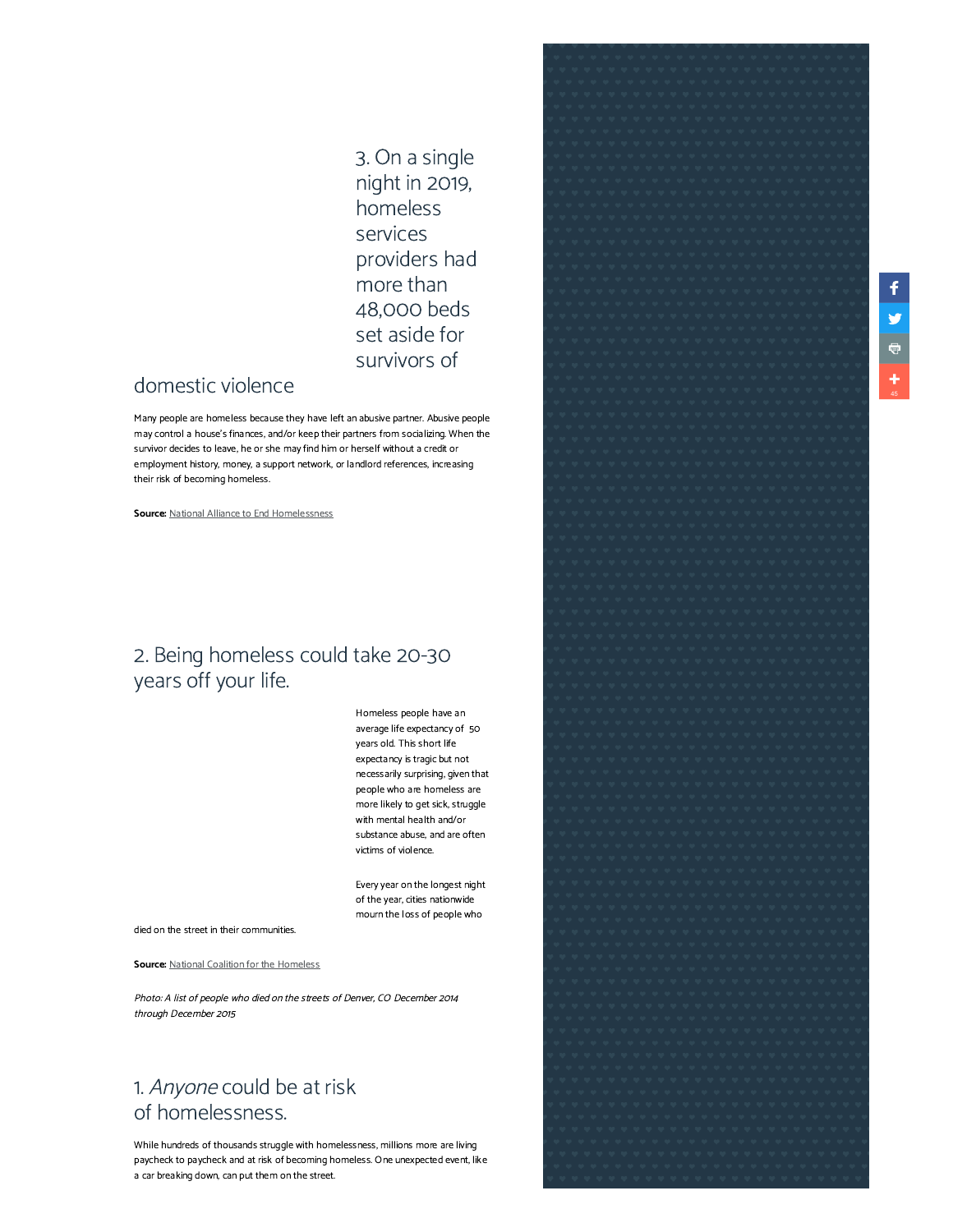3. On a single night in 2019, homeless services providers had more than 48,000 beds set aside for survivors of

#### domestic violence

Many people are homeless because they have left an abusive partner. Abusive people may control a house's finances, and/or keep their partners from socializing. When the survivor decides to leave, he or she may find him or herself without a credit or employment history, money, a support network, or landlord references, increasing their risk of becoming homeless.

Source: National Alliance to End [Homelessness](http://www.endhomelessness.org/pages/domestic_violence)

#### 2. Being homeless could take 20-30 years off your life.

Homeless people have an average life expectancy of 50 years old. This short life expectancy is tragic but not necessarily surprising, given that people who are homeless are more likely to get sick, struggle with mental health and/or substance abuse, and are often victims of violence.

Every year on the longest night of the year, cities nationwide mourn the loss of people who

died on the street in their communities.

Source: National Coalition for the [Homeless](https://nationalhomeless.org/category/mortality/)

Photo: A list of people who died on the streets of Denver, CO December 2014 through December <sup>2015</sup>

#### 1. Anyone could be at risk of homelessness.

While hundreds of thousands struggle with homelessness, millions more are living paycheck to paycheck and at risk of becoming homeless. One unexpected event, like a car breaking down, can put them on the street.

![](_page_2_Picture_12.jpeg)